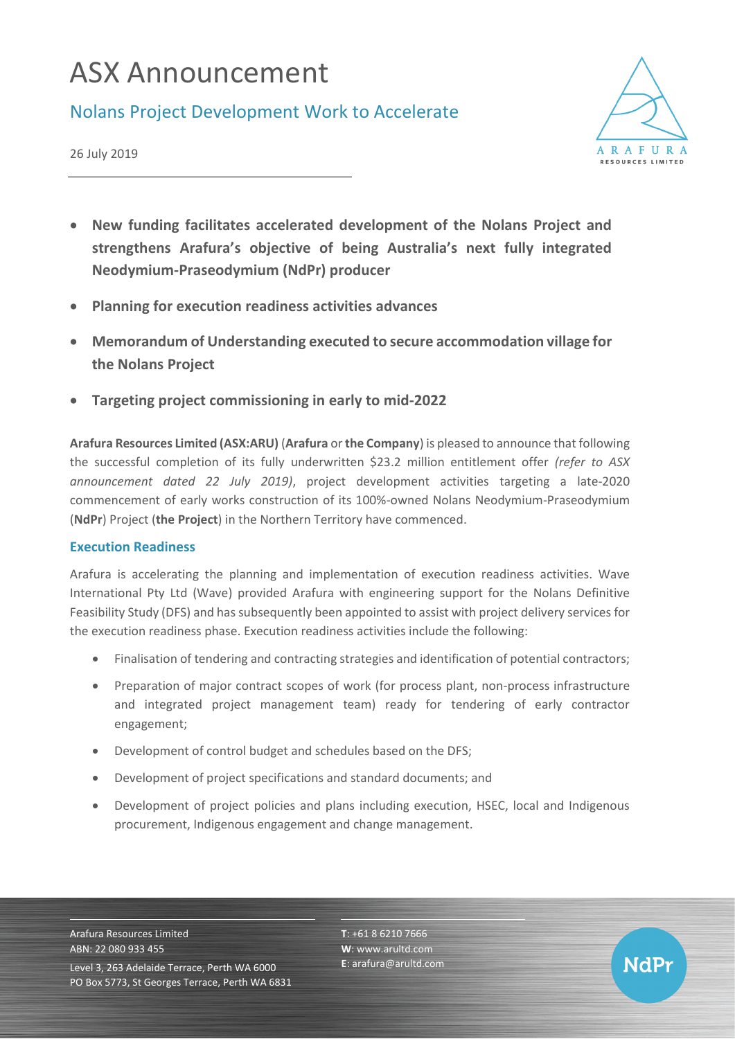# ASX Announcement

### Nolans Project Development Work to Accelerate



26 July 2019

- **New funding facilitates accelerated development of the Nolans Project and strengthens Arafura's objective of being Australia's next fully integrated Neodymium-Praseodymium (NdPr) producer**
- **Planning for execution readiness activities advances**
- **Memorandum of Understanding executed to secure accommodation village for the Nolans Project**
- **Targeting project commissioning in early to mid-2022**

**Arafura Resources Limited (ASX:ARU)** (**Arafura** or**the Company**) is pleased to announce that following the successful completion of its fully underwritten \$23.2 million entitlement offer *(refer to ASX announcement dated 22 July 2019)*, project development activities targeting a late-2020 commencement of early works construction of its 100%-owned Nolans Neodymium-Praseodymium (**NdPr**) Project (**the Project**) in the Northern Territory have commenced.

### **Execution Readiness**

Arafura is accelerating the planning and implementation of execution readiness activities. Wave International Pty Ltd (Wave) provided Arafura with engineering support for the Nolans Definitive Feasibility Study (DFS) and has subsequently been appointed to assist with project delivery services for the execution readiness phase. Execution readiness activities include the following:

- Finalisation of tendering and contracting strategies and identification of potential contractors;
- Preparation of major contract scopes of work (for process plant, non-process infrastructure and integrated project management team) ready for tendering of early contractor engagement;
- Development of control budget and schedules based on the DFS;
- Development of project specifications and standard documents; and
- Development of project policies and plans including execution, HSEC, local and Indigenous procurement, Indigenous engagement and change management.

Arafura Resources Limited ABN: 22 080 933 455 Level 3, 263 Adelaide Terrace, Perth WA 6000 PO Box 5773, St Georges Terrace, Perth WA 6831 **T**: +61 8 6210 7666 **W**: [www.arultd.com](http://www.arultd.com/) **E**[: arafura@arultd.com](mailto:arafura@arultd.com)

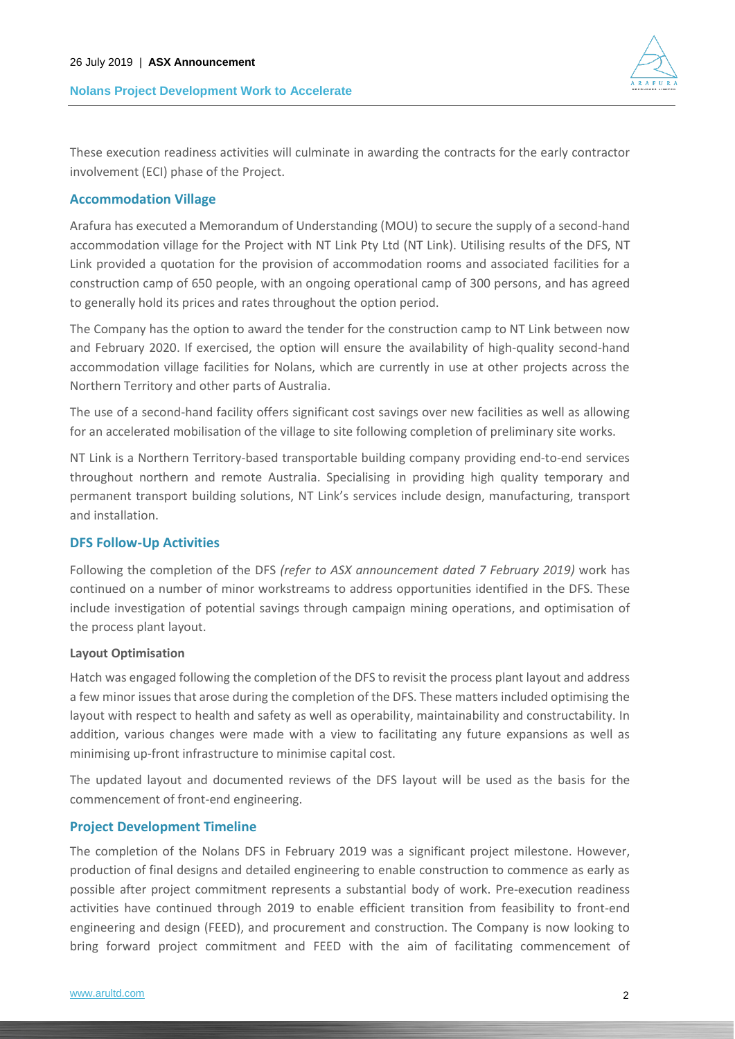#### **Nolans Project Development Work to Accelerate**



These execution readiness activities will culminate in awarding the contracts for the early contractor involvement (ECI) phase of the Project.

#### **Accommodation Village**

Arafura has executed a Memorandum of Understanding (MOU) to secure the supply of a second-hand accommodation village for the Project with NT Link Pty Ltd (NT Link). Utilising results of the DFS, NT Link provided a quotation for the provision of accommodation rooms and associated facilities for a construction camp of 650 people, with an ongoing operational camp of 300 persons, and has agreed to generally hold its prices and rates throughout the option period.

The Company has the option to award the tender for the construction camp to NT Link between now and February 2020. If exercised, the option will ensure the availability of high-quality second-hand accommodation village facilities for Nolans, which are currently in use at other projects across the Northern Territory and other parts of Australia.

The use of a second-hand facility offers significant cost savings over new facilities as well as allowing for an accelerated mobilisation of the village to site following completion of preliminary site works.

NT Link is a Northern Territory-based transportable building company providing end-to-end services throughout northern and remote Australia. Specialising in providing high quality temporary and permanent transport building solutions, NT Link's services include design, manufacturing, transport and installation.

#### **DFS Follow-Up Activities**

Following the completion of the DFS *(refer to ASX announcement dated 7 February 2019)* work has continued on a number of minor workstreams to address opportunities identified in the DFS. These include investigation of potential savings through campaign mining operations, and optimisation of the process plant layout.

#### **Layout Optimisation**

Hatch was engaged following the completion of the DFS to revisit the process plant layout and address a few minor issues that arose during the completion of the DFS. These matters included optimising the layout with respect to health and safety as well as operability, maintainability and constructability. In addition, various changes were made with a view to facilitating any future expansions as well as minimising up-front infrastructure to minimise capital cost.

The updated layout and documented reviews of the DFS layout will be used as the basis for the commencement of front-end engineering.

#### **Project Development Timeline**

The completion of the Nolans DFS in February 2019 was a significant project milestone. However, production of final designs and detailed engineering to enable construction to commence as early as possible after project commitment represents a substantial body of work. Pre-execution readiness activities have continued through 2019 to enable efficient transition from feasibility to front-end engineering and design (FEED), and procurement and construction. The Company is now looking to bring forward project commitment and FEED with the aim of facilitating commencement of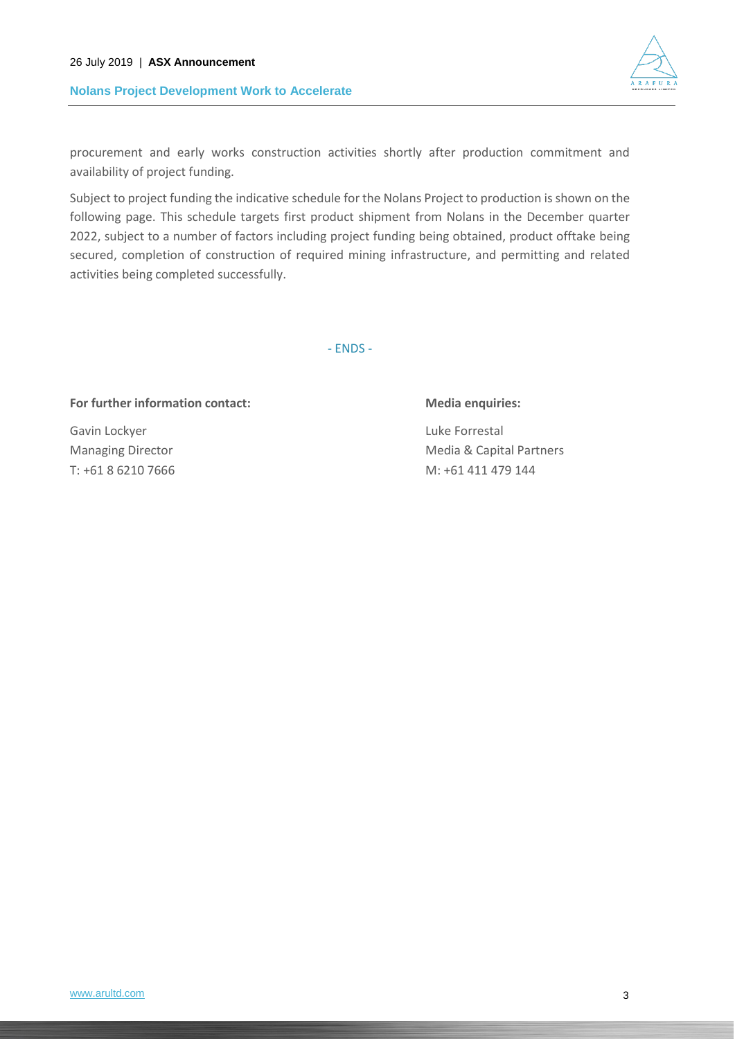#### **Nolans Project Development Work to Accelerate**



procurement and early works construction activities shortly after production commitment and availability of project funding.

Subject to project funding the indicative schedule for the Nolans Project to production is shown on the following page. This schedule targets first product shipment from Nolans in the December quarter 2022, subject to a number of factors including project funding being obtained, product offtake being secured, completion of construction of required mining infrastructure, and permitting and related activities being completed successfully.

- ENDS -

#### For further information contact: Media enquiries:

Gavin Lockyer **Luke Forrestal** 

Managing Director **Managing Director** Media & Capital Partners T: +61 8 6210 7666 M: +61 411 479 144